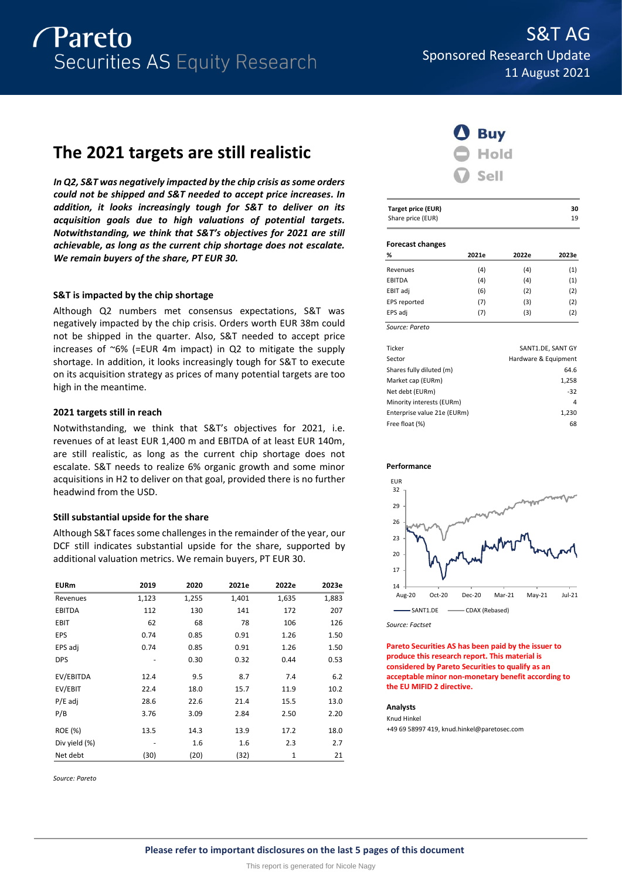

# **The 2021 targets are still realistic**

*In Q2, S&T was negatively impacted by the chip crisis as some orders could not be shipped and S&T needed to accept price increases. In addition, it looks increasingly tough for S&T to deliver on its acquisition goals due to high valuations of potential targets. Notwithstanding, we think that S&T's objectives for 2021 are still achievable, as long as the current chip shortage does not escalate. We remain buyers of the share, PT EUR 30.*

# **S&T is impacted by the chip shortage**

Although Q2 numbers met consensus expectations, S&T was negatively impacted by the chip crisis. Orders worth EUR 38m could not be shipped in the quarter. Also, S&T needed to accept price increases of  $\sim 6\%$  (=EUR 4m impact) in Q2 to mitigate the supply shortage. In addition, it looks increasingly tough for S&T to execute on its acquisition strategy as prices of many potential targets are too high in the meantime.

# **2021 targets still in reach**

Notwithstanding, we think that S&T's objectives for 2021, i.e. revenues of at least EUR 1,400 m and EBITDA of at least EUR 140m, are still realistic, as long as the current chip shortage does not escalate. S&T needs to realize 6% organic growth and some minor acquisitions in H2 to deliver on that goal, provided there is no further headwind from the USD.

# **Still substantial upside for the share**

Although S&T faces some challenges in the remainder of the year, our DCF still indicates substantial upside for the share, supported by additional valuation metrics. We remain buyers, PT EUR 30.

| <b>EURm</b>   | 2019  | 2020  | 2021e | 2022e | 2023e |
|---------------|-------|-------|-------|-------|-------|
| Revenues      | 1,123 | 1,255 | 1,401 | 1,635 | 1,883 |
| <b>EBITDA</b> | 112   | 130   | 141   | 172   | 207   |
| <b>EBIT</b>   | 62    | 68    | 78    | 106   | 126   |
| <b>EPS</b>    | 0.74  | 0.85  | 0.91  | 1.26  | 1.50  |
| EPS adj       | 0.74  | 0.85  | 0.91  | 1.26  | 1.50  |
| <b>DPS</b>    |       | 0.30  | 0.32  | 0.44  | 0.53  |
| EV/EBITDA     | 12.4  | 9.5   | 8.7   | 7.4   | 6.2   |
| EV/EBIT       | 22.4  | 18.0  | 15.7  | 11.9  | 10.2  |
| $P/E$ adj     | 28.6  | 22.6  | 21.4  | 15.5  | 13.0  |
| P/B           | 3.76  | 3.09  | 2.84  | 2.50  | 2.20  |
| ROE (%)       | 13.5  | 14.3  | 13.9  | 17.2  | 18.0  |
| Div yield (%) |       | 1.6   | 1.6   | 2.3   | 2.7   |
| Net debt      | (30)  | (20)  | (32)  | 1     | 21    |

*Source: Pareto*



| <b>Target price (EUR)</b> | 30 |
|---------------------------|----|
| Share price (EUR)         | 19 |
|                           |    |

# **Forecast changes**

| -              |       |       |       |
|----------------|-------|-------|-------|
| %              | 2021e | 2022e | 2023e |
| Revenues       | (4)   | (4)   | (1)   |
| EBITDA         | (4)   | (4)   | (1)   |
| EBIT adj       | (6)   | (2)   | (2)   |
| EPS reported   | (7)   | (3)   | (2)   |
| EPS adj        | (7)   | (3)   | (2)   |
| Source: Pareto |       |       |       |

| Ticker                      | SANT1.DE, SANT GY    |
|-----------------------------|----------------------|
| Sector                      | Hardware & Equipment |
| Shares fully diluted (m)    | 64.6                 |
| Market cap (EURm)           | 1,258                |
| Net debt (EURm)             | $-32$                |
| Minority interests (EURm)   | 4                    |
| Enterprise value 21e (EURm) | 1,230                |
| Free float (%)              | 68                   |
|                             |                      |





*Source: Factset*

**Pareto Securities AS has been paid by the issuer to produce this research report. This material is considered by Pareto Securities to qualify as an acceptable minor non-monetary benefit according to the EU MIFID 2 directive.**

# **Analysts**

Knud Hinkel +49 69 58997 419, knud.hinkel@paretosec.com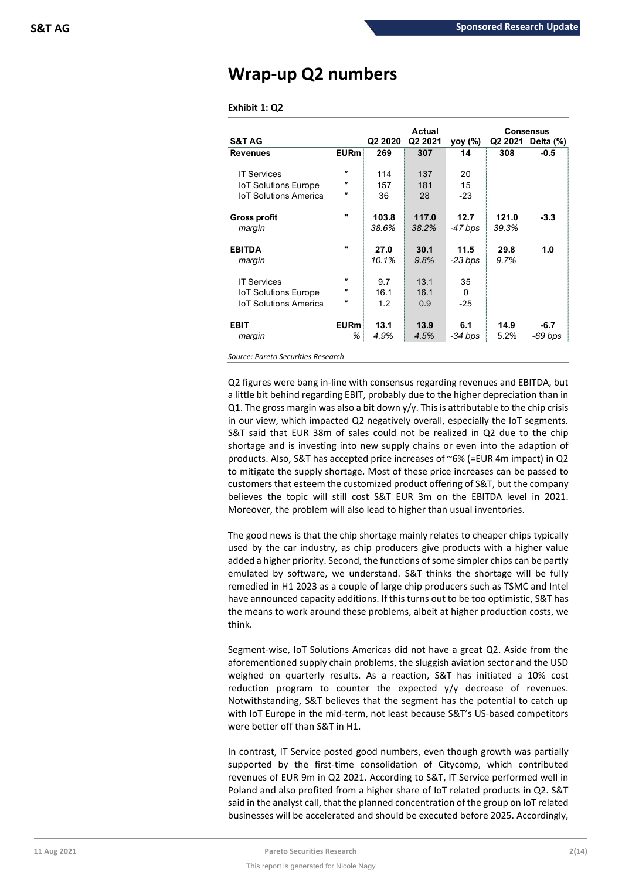# **Wrap-up Q2 numbers**

# **Exhibit 1: Q2**

|                              |                       |                     | Actual  |           |       | <b>Consensus</b>  |
|------------------------------|-----------------------|---------------------|---------|-----------|-------|-------------------|
| <b>S&amp;TAG</b>             |                       | Q <sub>2</sub> 2020 | Q2 2021 | yoy (%)   |       | Q2 2021 Delta (%) |
| <b>Revenues</b>              | $E$ URm $\frac{1}{2}$ | 269                 | 307     | 14        | 308   | $-0.5$            |
|                              |                       |                     |         |           |       |                   |
| <b>IT Services</b>           | $^{\prime\prime}$     | 114                 | 137     | 20        |       |                   |
| <b>IoT Solutions Europe</b>  | $^{\prime\prime}$     | 157                 | 181     | 15        |       |                   |
| <b>IoT Solutions America</b> | $^{\prime\prime}$     | 36                  | 28      | $-23$     |       |                   |
|                              |                       |                     |         |           |       |                   |
|                              |                       |                     | 117.0   | 12.7      | 121.0 | $-3.3$            |
| <b>Gross profit</b>          |                       | 103.8               |         |           |       |                   |
| margin                       |                       | 38.6%               | 38.2%   | -47 bps   | 39.3% |                   |
|                              |                       |                     |         |           |       |                   |
| <b>EBITDA</b>                | $\mathbf{u}$          | 27.0                | 30.1    | 11.5      | 29.8  | 1.0               |
| margin                       |                       | 10.1%               | 9.8%    | $-23$ bps | 9.7%  |                   |
|                              |                       |                     |         |           |       |                   |
| <b>IT Services</b>           | $^{\prime\prime}$     | 9.7                 | 13.1    | 35        |       |                   |
| <b>IoT Solutions Europe</b>  | "                     | 16.1                | 16.1    | $\Omega$  |       |                   |
| <b>IoT Solutions America</b> | $^{\prime\prime}$     | 1.2                 | 0.9     | $-25$     |       |                   |
|                              |                       |                     |         |           |       |                   |
|                              |                       |                     |         |           |       |                   |
| <b>EBIT</b>                  | <b>EURm</b>           | 13.1                | 13.9    | 6.1       | 14.9  | $-6.7$            |
| margin                       | %                     | 4.9%                | 4.5%    | -34 bps   | 5.2%  | -69 bps           |
|                              |                       |                     |         |           |       |                   |

*Source: Pareto Securities Research*

Q2 figures were bang in-line with consensus regarding revenues and EBITDA, but a little bit behind regarding EBIT, probably due to the higher depreciation than in Q1. The gross margin was also a bit down  $y/y$ . This is attributable to the chip crisis in our view, which impacted Q2 negatively overall, especially the IoT segments. S&T said that EUR 38m of sales could not be realized in Q2 due to the chip shortage and is investing into new supply chains or even into the adaption of products. Also, S&T has accepted price increases of ~6% (=EUR 4m impact) in Q2 to mitigate the supply shortage. Most of these price increases can be passed to customers that esteem the customized product offering of S&T, but the company believes the topic will still cost S&T EUR 3m on the EBITDA level in 2021. Moreover, the problem will also lead to higher than usual inventories.

The good news is that the chip shortage mainly relates to cheaper chips typically used by the car industry, as chip producers give products with a higher value added a higher priority. Second, the functions of some simpler chips can be partly emulated by software, we understand. S&T thinks the shortage will be fully remedied in H1 2023 as a couple of large chip producers such as TSMC and Intel have announced capacity additions. If this turns out to be too optimistic, S&T has the means to work around these problems, albeit at higher production costs, we think.

Segment-wise, IoT Solutions Americas did not have a great Q2. Aside from the aforementioned supply chain problems, the sluggish aviation sector and the USD weighed on quarterly results. As a reaction, S&T has initiated a 10% cost reduction program to counter the expected y/y decrease of revenues. Notwithstanding, S&T believes that the segment has the potential to catch up with IoT Europe in the mid-term, not least because S&T's US-based competitors were better off than S&T in H1.

In contrast, IT Service posted good numbers, even though growth was partially supported by the first-time consolidation of Citycomp, which contributed revenues of EUR 9m in Q2 2021. According to S&T, IT Service performed well in Poland and also profited from a higher share of IoT related products in Q2. S&T said in the analyst call, that the planned concentration of the group on IoT related businesses will be accelerated and should be executed before 2025. Accordingly,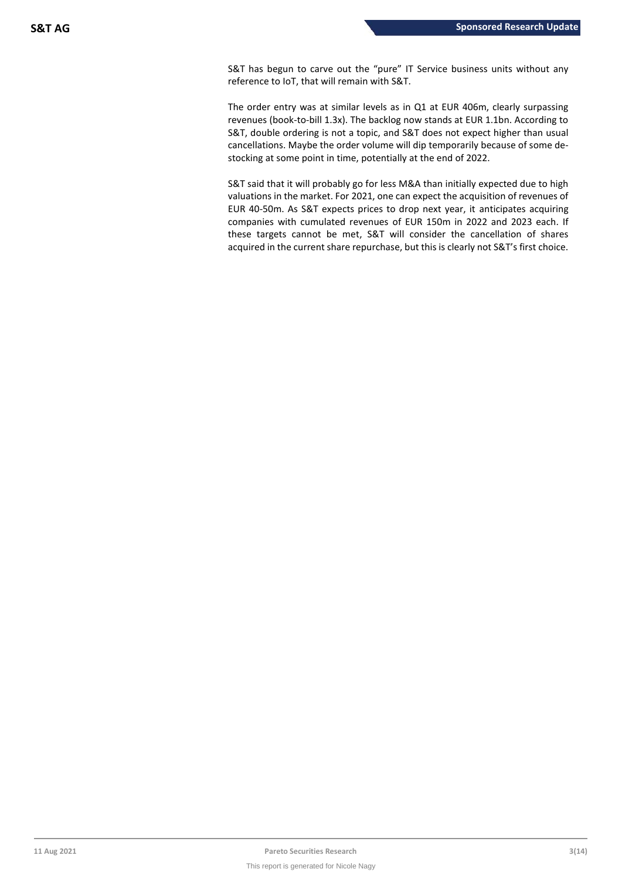S&T has begun to carve out the "pure" IT Service business units without any reference to IoT, that will remain with S&T.

The order entry was at similar levels as in Q1 at EUR 406m, clearly surpassing revenues (book-to-bill 1.3x). The backlog now stands at EUR 1.1bn. According to S&T, double ordering is not a topic, and S&T does not expect higher than usual cancellations. Maybe the order volume will dip temporarily because of some destocking at some point in time, potentially at the end of 2022.

S&T said that it will probably go for less M&A than initially expected due to high valuations in the market. For 2021, one can expect the acquisition of revenues of EUR 40-50m. As S&T expects prices to drop next year, it anticipates acquiring companies with cumulated revenues of EUR 150m in 2022 and 2023 each. If these targets cannot be met, S&T will consider the cancellation of shares acquired in the current share repurchase, but this is clearly not S&T's first choice.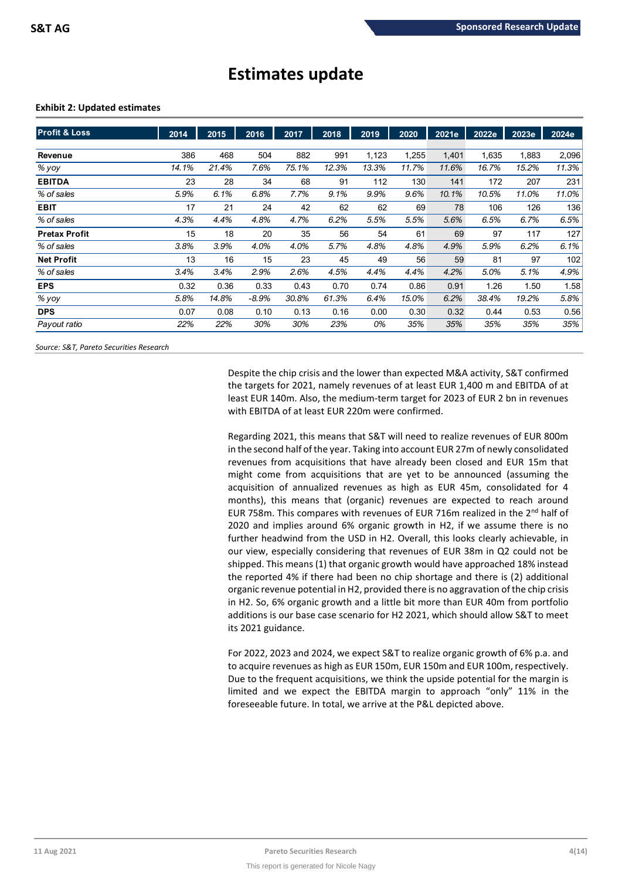# **Estimates update**

# **Exhibit 2: Updated estimates**

| <b>Profit &amp; Loss</b> | 2014  | 2015  | 2016    | 2017  | 2018  | 2019  | 2020  | 2021e | 2022e | 2023e | 2024e |
|--------------------------|-------|-------|---------|-------|-------|-------|-------|-------|-------|-------|-------|
|                          |       |       |         |       |       |       |       |       |       |       |       |
| Revenue                  | 386   | 468   | 504     | 882   | 991   | 1,123 | 1,255 | 1,401 | 1,635 | 1,883 | 2,096 |
| % yoy                    | 14.1% | 21.4% | 7.6%    | 75.1% | 12.3% | 13.3% | 11.7% | 11.6% | 16.7% | 15.2% | 11.3% |
| <b>EBITDA</b>            | 23    | 28    | 34      | 68    | 91    | 112   | 130   | 141   | 172   | 207   | 231   |
| % of sales               | 5.9%  | 6.1%  | 6.8%    | 7.7%  | 9.1%  | 9.9%  | 9.6%  | 10.1% | 10.5% | 11.0% | 11.0% |
| <b>EBIT</b>              | 17    | 21    | 24      | 42    | 62    | 62    | 69    | 78    | 106   | 126   | 136   |
| % of sales               | 4.3%  | 4.4%  | 4.8%    | 4.7%  | 6.2%  | 5.5%  | 5.5%  | 5.6%  | 6.5%  | 6.7%  | 6.5%  |
| <b>Pretax Profit</b>     | 15    | 18    | 20      | 35    | 56    | 54    | 61    | 69    | 97    | 117   | 127   |
| % of sales               | 3.8%  | 3.9%  | 4.0%    | 4.0%  | 5.7%  | 4.8%  | 4.8%  | 4.9%  | 5.9%  | 6.2%  | 6.1%  |
| <b>Net Profit</b>        | 13    | 16    | 15      | 23    | 45    | 49    | 56    | 59    | 81    | 97    | 102   |
| % of sales               | 3.4%  | 3.4%  | 2.9%    | 2.6%  | 4.5%  | 4.4%  | 4.4%  | 4.2%  | 5.0%  | 5.1%  | 4.9%  |
| <b>EPS</b>               | 0.32  | 0.36  | 0.33    | 0.43  | 0.70  | 0.74  | 0.86  | 0.91  | 1.26  | 1.50  | 1.58  |
| % yoy                    | 5.8%  | 14.8% | $-8.9%$ | 30.8% | 61.3% | 6.4%  | 15.0% | 6.2%  | 38.4% | 19.2% | 5.8%  |
| <b>DPS</b>               | 0.07  | 0.08  | 0.10    | 0.13  | 0.16  | 0.00  | 0.30  | 0.32  | 0.44  | 0.53  | 0.56  |
| Payout ratio             | 22%   | 22%   | 30%     | 30%   | 23%   | 0%    | 35%   | 35%   | 35%   | 35%   | 35%   |

*Source: S&T, Pareto Securities Research*

Despite the chip crisis and the lower than expected M&A activity, S&T confirmed the targets for 2021, namely revenues of at least EUR 1,400 m and EBITDA of at least EUR 140m. Also, the medium-term target for 2023 of EUR 2 bn in revenues with EBITDA of at least EUR 220m were confirmed.

Regarding 2021, this means that S&T will need to realize revenues of EUR 800m in the second half of the year. Taking into account EUR 27m of newly consolidated revenues from acquisitions that have already been closed and EUR 15m that might come from acquisitions that are yet to be announced (assuming the acquisition of annualized revenues as high as EUR 45m, consolidated for 4 months), this means that (organic) revenues are expected to reach around EUR 758m. This compares with revenues of EUR 716m realized in the  $2<sup>nd</sup>$  half of 2020 and implies around 6% organic growth in H2, if we assume there is no further headwind from the USD in H2. Overall, this looks clearly achievable, in our view, especially considering that revenues of EUR 38m in Q2 could not be shipped. This means (1) that organic growth would have approached 18% instead the reported 4% if there had been no chip shortage and there is (2) additional organic revenue potential in H2, provided there is no aggravation of the chip crisis in H2. So, 6% organic growth and a little bit more than EUR 40m from portfolio additions is our base case scenario for H2 2021, which should allow S&T to meet its 2021 guidance.

For 2022, 2023 and 2024, we expect S&T to realize organic growth of 6% p.a. and to acquire revenues as high as EUR 150m, EUR 150m and EUR 100m, respectively. Due to the frequent acquisitions, we think the upside potential for the margin is limited and we expect the EBITDA margin to approach "only" 11% in the foreseeable future. In total, we arrive at the P&L depicted above.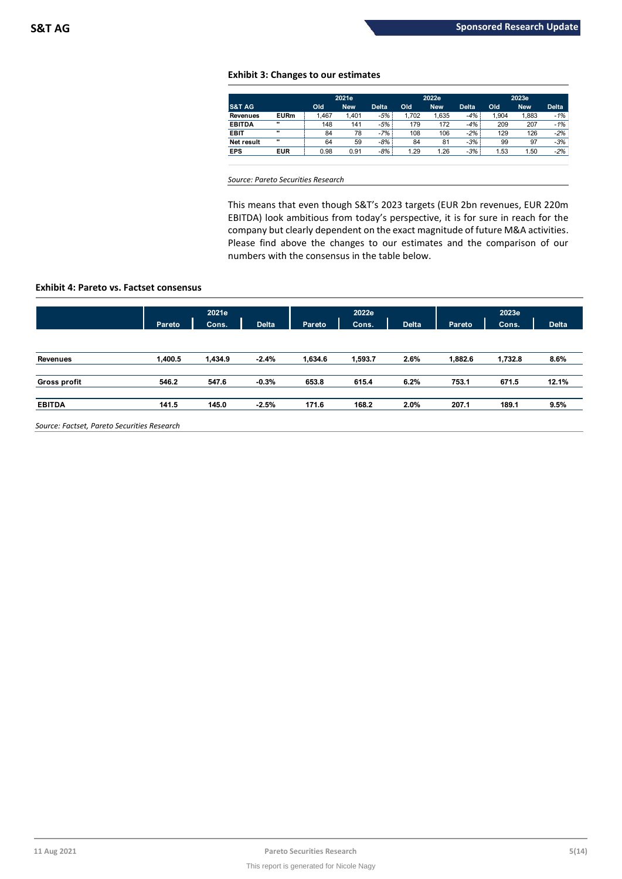# **Exhibit 3: Changes to our estimates**

|                   |             |       | 2021e      |              |       | 2022e      |              | 2023e |            |              |
|-------------------|-------------|-------|------------|--------------|-------|------------|--------------|-------|------------|--------------|
| <b>S&amp;T AG</b> |             | Old   | <b>New</b> | <b>Delta</b> | Old   | <b>New</b> | <b>Delta</b> | Old   | <b>New</b> | <b>Delta</b> |
| <b>Revenues</b>   | <b>EURm</b> | 1.467 | 1.401      | $-5%$        | 1.702 | 1,635      | $-4%$        | 1.904 | 1,883      | $-1%$        |
| <b>EBITDA</b>     |             | 148   | 141        | -5%          | 179   | 172        | $-4%$        | 209   | 207        | $-1%$        |
| <b>EBIT</b>       |             | 84    | 78         | -7%          | 108   | 106        | $-2\%$       | 129   | 126        | $-2%$        |
| Net result        |             | 64    | 59         | $-8%$        | 84    | 81         | $-3%$        | 99    | 97         | $-3%$        |
| <b>EPS</b>        | <b>EUR</b>  | 0.98  | 0.91       | $-8%$        | 1.29  | 1.26       | $-3%$        | 1.53  | 1.50       | $-2%$        |
|                   |             |       |            |              |       |            |              |       |            |              |

*Source: Pareto Securities Research*

This means that even though S&T's 2023 targets (EUR 2bn revenues, EUR 220m EBITDA) look ambitious from today's perspective, it is for sure in reach for the company but clearly dependent on the exact magnitude of future M&A activities. Please find above the changes to our estimates and the comparison of our numbers with the consensus in the table below.

# **Exhibit 4: Pareto vs. Factset consensus**

|                     |         | 2021e   |              |         | 2022e   |              | 2023e   |         |              |
|---------------------|---------|---------|--------------|---------|---------|--------------|---------|---------|--------------|
|                     | Pareto  | Cons.   | <b>Delta</b> | Pareto  | Cons.   | <b>Delta</b> | Pareto  | Cons.   | <b>Delta</b> |
|                     |         |         |              |         |         |              |         |         |              |
| <b>Revenues</b>     | 1,400.5 | 1,434.9 | $-2.4%$      | 1,634.6 | 1,593.7 | 2.6%         | 1,882.6 | 1,732.8 | 8.6%         |
| <b>Gross profit</b> | 546.2   | 547.6   | $-0.3%$      | 653.8   | 615.4   | 6.2%         | 753.1   | 671.5   | 12.1%        |
| <b>EBITDA</b>       | 141.5   | 145.0   | $-2.5%$      | 171.6   | 168.2   | 2.0%         | 207.1   | 189.1   | 9.5%         |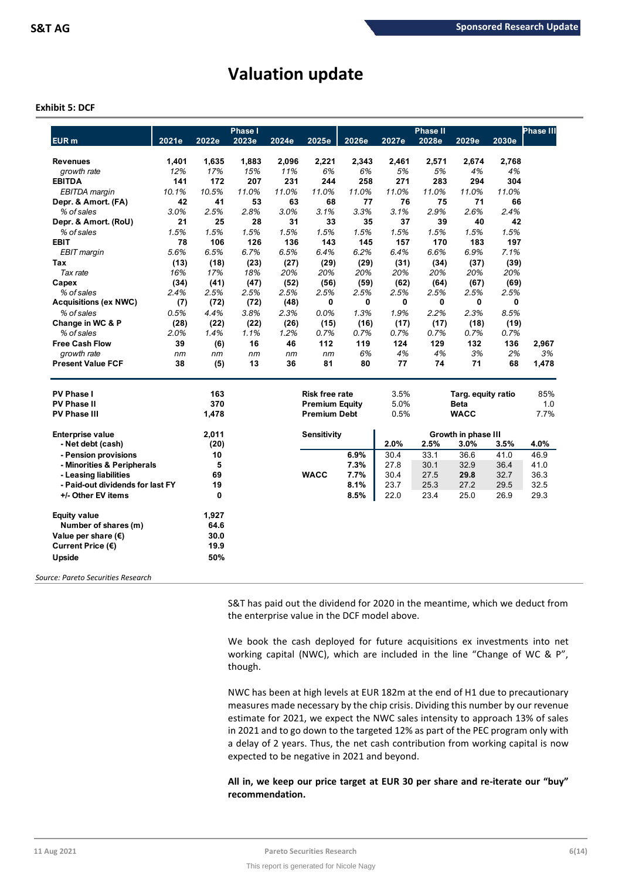# **Valuation update**

# **Exhibit 5: DCF**

| EUR <sub>m</sub>                 | 2021e | 2022e | <b>Phase I</b><br>2023e | 2024e | 2025e                 | 2026e | 2027e | <b>Phase II</b><br>2028e | 2029e               | 2030e | <b>Phase III</b> |
|----------------------------------|-------|-------|-------------------------|-------|-----------------------|-------|-------|--------------------------|---------------------|-------|------------------|
| <b>Revenues</b>                  | 1,401 | 1,635 | 1,883                   | 2,096 | 2,221                 | 2,343 | 2,461 | 2,571                    | 2,674               | 2,768 |                  |
| growth rate                      | 12%   | 17%   | 15%                     | 11%   | 6%                    | 6%    | 5%    | 5%                       | 4%                  | 4%    |                  |
| <b>EBITDA</b>                    | 141   | 172   | 207                     | 231   | 244                   | 258   | 271   | 283                      | 294                 | 304   |                  |
| EBITDA margin                    | 10.1% | 10.5% | 11.0%                   | 11.0% | 11.0%                 | 11.0% | 11.0% | 11.0%                    | 11.0%               | 11.0% |                  |
| Depr. & Amort. (FA)              | 42    | 41    | 53                      | 63    | 68                    | 77    | 76    | 75                       | 71                  | 66    |                  |
| % of sales                       | 3.0%  | 2.5%  | 2.8%                    | 3.0%  | 3.1%                  | 3.3%  | 3.1%  | 2.9%                     | 2.6%                | 2.4%  |                  |
| Depr. & Amort. (RoU)             | 21    | 25    | 28                      | 31    | 33                    | 35    | 37    | 39                       | 40                  | 42    |                  |
| % of sales                       | 1.5%  | 1.5%  | 1.5%                    | 1.5%  | 1.5%                  | 1.5%  | 1.5%  | 1.5%                     | 1.5%                | 1.5%  |                  |
| <b>EBIT</b>                      | 78    | 106   | 126                     | 136   | 143                   | 145   | 157   | 170                      | 183                 | 197   |                  |
| EBIT margin                      | 5.6%  | 6.5%  | 6.7%                    | 6.5%  | 6.4%                  | 6.2%  | 6.4%  | 6.6%                     | 6.9%                | 7.1%  |                  |
| Tax                              | (13)  | (18)  | (23)                    | (27)  | (29)                  | (29)  | (31)  | (34)                     | (37)                | (39)  |                  |
| Tax rate                         | 16%   | 17%   | 18%                     | 20%   | 20%                   | 20%   | 20%   | 20%                      | 20%                 | 20%   |                  |
| Capex                            | (34)  | (41)  | (47)                    | (52)  | (56)                  | (59)  | (62)  | (64)                     | (67)                | (69)  |                  |
| % of sales                       | 2.4%  | 2.5%  | 2.5%                    | 2.5%  | 2.5%                  | 2.5%  | 2.5%  | 2.5%                     | 2.5%                | 2.5%  |                  |
| <b>Acquisitions (ex NWC)</b>     | (7)   | (72)  | (72)                    | (48)  | 0                     | 0     | 0     | 0                        | 0                   | 0     |                  |
| % of sales                       | 0.5%  | 4.4%  | 3.8%                    | 2.3%  | 0.0%                  | 1.3%  | 1.9%  | 2.2%                     | 2.3%                | 8.5%  |                  |
| Change in WC & P                 | (28)  | (22)  | (22)                    | (26)  | (15)                  | (16)  | (17)  | (17)                     | (18)                | (19)  |                  |
| % of sales                       | 2.0%  | 1.4%  | 1.1%                    | 1.2%  | 0.7%                  | 0.7%  | 0.7%  | 0.7%                     | 0.7%                | 0.7%  |                  |
| <b>Free Cash Flow</b>            | 39    | (6)   | 16                      | 46    | 112                   | 119   | 124   | 129                      | 132                 | 136   | 2,967            |
| growth rate                      | nm    | nm    | nm                      | nm    | nm                    | 6%    | 4%    | 4%                       | 3%                  | 2%    | 3%               |
| <b>Present Value FCF</b>         | 38    | (5)   | 13                      | 36    | 81                    | 80    | 77    | 74                       | 71                  | 68    | 1,478            |
| <b>PV Phase I</b>                |       | 163   |                         |       | <b>Risk free rate</b> |       | 3.5%  |                          | Targ. equity ratio  |       | 85%              |
| <b>PV Phase II</b>               |       | 370   |                         |       | <b>Premium Equity</b> |       | 5.0%  |                          | <b>Beta</b>         |       | 1.0              |
| <b>PV Phase III</b>              |       | 1,478 |                         |       | <b>Premium Debt</b>   |       | 0.5%  |                          | <b>WACC</b>         |       | 7.7%             |
| <b>Enterprise value</b>          |       | 2,011 |                         |       | Sensitivity           |       |       |                          | Growth in phase III |       |                  |
| - Net debt (cash)                |       | (20)  |                         |       |                       |       | 2.0%  | 2.5%                     | 3.0%                | 3.5%  | 4.0%             |
| - Pension provisions             |       | 10    |                         |       |                       | 6.9%  | 30.4  | 33.1                     | 36.6                | 41.0  | 46.9             |
| - Minorities & Peripherals       |       | 5     |                         |       |                       | 7.3%  | 27.8  | 30.1                     | 32.9                | 36.4  | 41.0             |
| - Leasing liabilities            |       | 69    |                         |       | <b>WACC</b>           | 7.7%  | 30.4  | 27.5                     | 29.8                | 32.7  | 36.3             |
| - Paid-out dividends for last FY |       | 19    |                         |       |                       | 8.1%  | 23.7  | 25.3                     | 27.2                | 29.5  | 32.5             |
| +/- Other EV items               |       | 0     |                         |       |                       | 8.5%  | 22.0  | 23.4                     | 25.0                | 26.9  | 29.3             |
| <b>Equity value</b>              |       | 1,927 |                         |       |                       |       |       |                          |                     |       |                  |
| Number of shares (m)             |       | 64.6  |                         |       |                       |       |       |                          |                     |       |                  |
| Value per share $(\epsilon)$     |       | 30.0  |                         |       |                       |       |       |                          |                     |       |                  |
|                                  |       |       |                         |       |                       |       |       |                          |                     |       |                  |
| Current Price (€)                |       | 19.9  |                         |       |                       |       |       |                          |                     |       |                  |

S&T has paid out the dividend for 2020 in the meantime, which we deduct from the enterprise value in the DCF model above.

We book the cash deployed for future acquisitions ex investments into net working capital (NWC), which are included in the line "Change of WC & P", though.

NWC has been at high levels at EUR 182m at the end of H1 due to precautionary measures made necessary by the chip crisis. Dividing this number by our revenue estimate for 2021, we expect the NWC sales intensity to approach 13% of sales in 2021 and to go down to the targeted 12% as part of the PEC program only with a delay of 2 years. Thus, the net cash contribution from working capital is now expected to be negative in 2021 and beyond.

# **All in, we keep our price target at EUR 30 per share and re-iterate our "buy" recommendation.**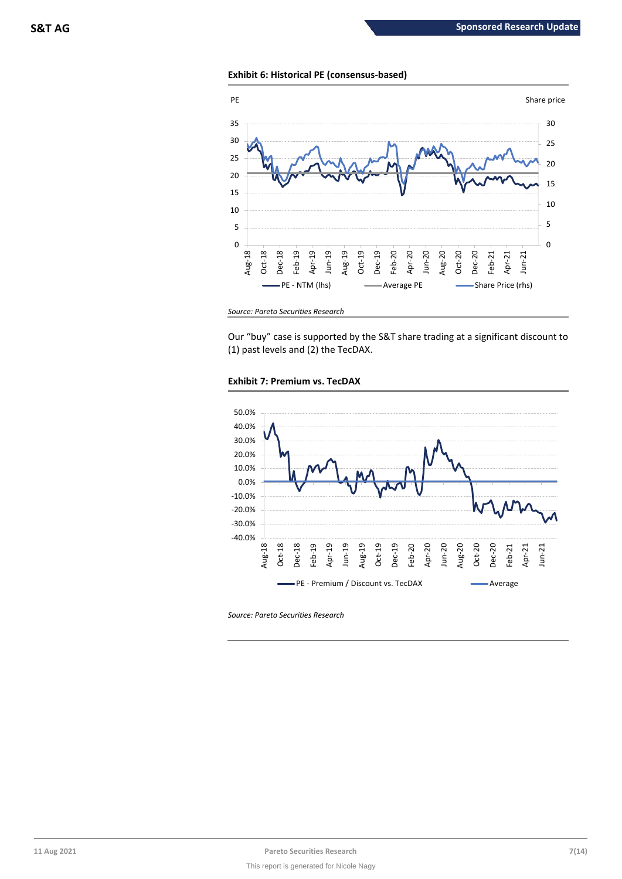# **Exhibit 6: Historical PE (consensus-based)**



*Source: Pareto Securities Research*

Our "buy" case is supported by the S&T share trading at a significant discount to (1) past levels and (2) the TecDAX.





*Source: Pareto Securities Research*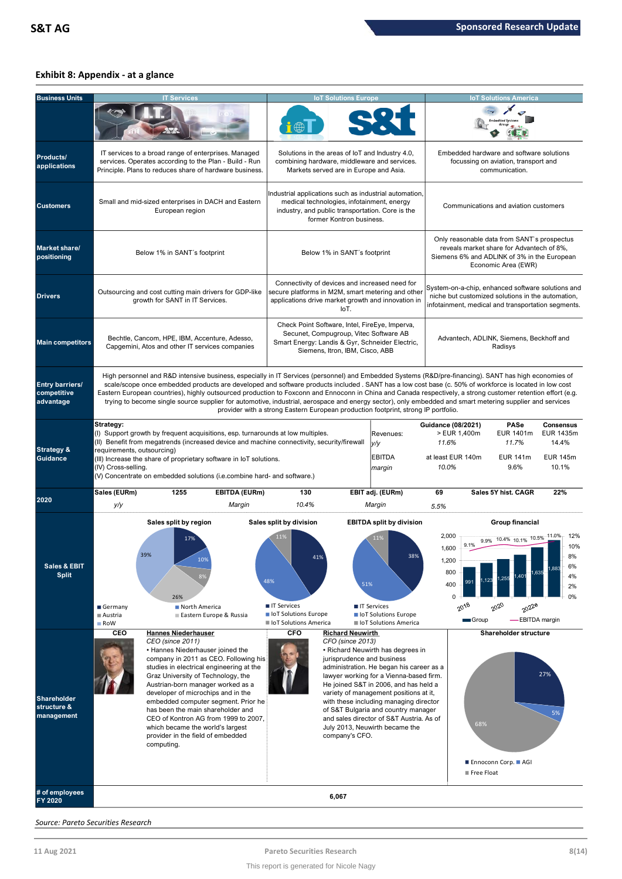# **Exhibit 8: Appendix - at a glance**

| <b>Business Units</b>                       |                                                                | <b>IT Services</b>                                                                                                                                                                                                                                                                                                                                                                                                                                                                                                                                                                                                                         |                                                                                                         | <b>IoT Solutions Europe</b>                                                                                                                                                          |                                                                                                                                                                                                                                                                                                                                                                            | <b>IoT Solutions America</b>                                                                                                                                   |                                                                                                                                                              |                                                                    |  |
|---------------------------------------------|----------------------------------------------------------------|--------------------------------------------------------------------------------------------------------------------------------------------------------------------------------------------------------------------------------------------------------------------------------------------------------------------------------------------------------------------------------------------------------------------------------------------------------------------------------------------------------------------------------------------------------------------------------------------------------------------------------------------|---------------------------------------------------------------------------------------------------------|--------------------------------------------------------------------------------------------------------------------------------------------------------------------------------------|----------------------------------------------------------------------------------------------------------------------------------------------------------------------------------------------------------------------------------------------------------------------------------------------------------------------------------------------------------------------------|----------------------------------------------------------------------------------------------------------------------------------------------------------------|--------------------------------------------------------------------------------------------------------------------------------------------------------------|--------------------------------------------------------------------|--|
| Products/<br>applications                   |                                                                | IT services to a broad range of enterprises. Managed<br>services. Operates according to the Plan - Build - Run<br>Principle. Plans to reduces share of hardware business.                                                                                                                                                                                                                                                                                                                                                                                                                                                                  |                                                                                                         | Solutions in the areas of loT and Industry 4.0,<br>combining hardware, middleware and services.<br>Markets served are in Europe and Asia.                                            |                                                                                                                                                                                                                                                                                                                                                                            |                                                                                                                                                                | Embedded hardware and software solutions<br>focussing on aviation, transport and<br>communication.                                                           |                                                                    |  |
| <b>Customers</b>                            |                                                                | Small and mid-sized enterprises in DACH and Eastern<br>European region                                                                                                                                                                                                                                                                                                                                                                                                                                                                                                                                                                     |                                                                                                         | Industrial applications such as industrial automation,<br>medical technologies, infotainment, energy<br>industry, and public transportation. Core is the<br>former Kontron business. |                                                                                                                                                                                                                                                                                                                                                                            | Communications and aviation customers                                                                                                                          |                                                                                                                                                              |                                                                    |  |
| <b>Market share/</b><br>positioning         |                                                                | Below 1% in SANT's footprint                                                                                                                                                                                                                                                                                                                                                                                                                                                                                                                                                                                                               |                                                                                                         | Below 1% in SANT's footprint                                                                                                                                                         |                                                                                                                                                                                                                                                                                                                                                                            | Only reasonable data from SANT's prospectus<br>reveals market share for Advantech of 8%,<br>Siemens 6% and ADLINK of 3% in the European<br>Economic Area (EWR) |                                                                                                                                                              |                                                                    |  |
| <b>Drivers</b>                              |                                                                | Outsourcing and cost cutting main drivers for GDP-like<br>growth for SANT in IT Services.                                                                                                                                                                                                                                                                                                                                                                                                                                                                                                                                                  |                                                                                                         | Connectivity of devices and increased need for<br>secure platforms in M2M, smart metering and other<br>applications drive market growth and innovation in<br>IoT.                    |                                                                                                                                                                                                                                                                                                                                                                            |                                                                                                                                                                | System-on-a-chip, enhanced software solutions and<br>niche but customized solutions in the automation,<br>infotainment, medical and transportation segments. |                                                                    |  |
| <b>Main competitors</b>                     |                                                                | Bechtle, Cancom, HPE, IBM, Accenture, Adesso,<br>Capgemini, Atos and other IT services companies                                                                                                                                                                                                                                                                                                                                                                                                                                                                                                                                           |                                                                                                         | Check Point Software, Intel, FireEye, Imperva,<br>Secunet, Compugroup, Vitec Software AB<br>Smart Energy: Landis & Gyr, Schneider Electric,<br>Siemens, Itron, IBM, Cisco, ABB       |                                                                                                                                                                                                                                                                                                                                                                            | Advantech, ADLINK, Siemens, Beckhoff and<br>Radisys                                                                                                            |                                                                                                                                                              |                                                                    |  |
| Entry barriers/<br>competitive<br>advantage |                                                                | High personnel and R&D intensive business, especially in IT Services (personnel) and Embedded Systems (R&D/pre-financing). SANT has high economies of<br>scale/scope once embedded products are developed and software products included. SANT has a low cost base (c. 50% of workforce is located in low cost<br>Eastern European countries), highly outsourced production to Foxconn and Ennoconn in China and Canada respectively, a strong customer retention effort (e.g.<br>trying to become single source supplier for automotive, industrial, aerospace and energy sector), only embedded and smart metering supplier and services | provider with a strong Eastern European production footprint, strong IP portfolio.                      |                                                                                                                                                                                      |                                                                                                                                                                                                                                                                                                                                                                            |                                                                                                                                                                |                                                                                                                                                              |                                                                    |  |
| <b>Strategy &amp;</b><br><b>Guidance</b>    | Strategy:<br>requirements, outsourcing)<br>(IV) Cross-selling. | (I) Support growth by frequent acquisitions, esp. turnarounds at low multiples.<br>(II) Benefit from megatrends (increased device and machine connectivity, security/firewall<br>(III) Increase the share of proprietary software in IoT solutions.<br>(V) Concentrate on embedded solutions (i.e.combine hard- and software.)                                                                                                                                                                                                                                                                                                             |                                                                                                         |                                                                                                                                                                                      | Revenues:<br>y/y<br><b>EBITDA</b><br>margin                                                                                                                                                                                                                                                                                                                                | <b>Guidance (08/2021)</b><br>> EUR 1,400m<br>11.6%<br>at least EUR 140m<br>10.0%                                                                               | <b>PASe</b><br>EUR 1401m<br>11.7%<br><b>EUR 141m</b><br>9.6%                                                                                                 | <b>Consensus</b><br>EUR 1435m<br>14.4%<br><b>EUR 145m</b><br>10.1% |  |
| 2020                                        | Sales (EURm)<br>y/y                                            | <b>EBITDA (EURm)</b><br>1255<br>Margin                                                                                                                                                                                                                                                                                                                                                                                                                                                                                                                                                                                                     | 130<br>10.4%                                                                                            |                                                                                                                                                                                      | EBIT adj. (EURm)<br>Margin                                                                                                                                                                                                                                                                                                                                                 | 69<br>5.5%                                                                                                                                                     | Sales 5Y hist, CAGR                                                                                                                                          | 22%                                                                |  |
| Sales & EBIT<br><b>Split</b>                | 20%<br>Germany<br>■ Austria<br>RoW                             | Sales split by region<br>17%<br>10%<br>26%<br>North America<br>Eastern Europe & Russia                                                                                                                                                                                                                                                                                                                                                                                                                                                                                                                                                     | Sales split by division<br>11%<br>48%<br>■ IT Services<br>loT Solutions Europe<br>loT Solutions America | 41%<br>51%                                                                                                                                                                           | <b>EBITDA split by division</b><br>11%<br><b>■ IT Services</b><br>loT Solutions Europe<br>loT Solutions America                                                                                                                                                                                                                                                            | 2,000<br>9.1%<br>1,600<br>1,200<br>800<br>400<br>0<br>$20^{18}$                                                                                                | Group financial<br>9.9% 10.4% 10.1% 10.5%<br>$.40^{\circ}$<br>255<br>$20^{20}$<br>2022e<br>-EBITDA margin<br>Group                                           | 12%<br>$-11.0%$<br>10%<br>6%<br>4%<br>2%<br>0%                     |  |
| Shareholder<br>structure &<br>management    | CEO                                                            | <b>Hannes Niederhauser</b><br>CEO (since 2011)<br>• Hannes Niederhauser joined the<br>company in 2011 as CEO. Following his<br>studies in electrical engineering at the<br>Graz University of Technology, the<br>Austrian-born manager worked as a<br>developer of microchips and in the<br>embedded computer segment. Prior he<br>has been the main shareholder and<br>CEO of Kontron AG from 1999 to 2007,<br>which became the world's largest<br>provider in the field of embedded<br>computing.                                                                                                                                        | <b>CFO</b>                                                                                              | <b>Richard Neuwirth</b><br>CFO (since 2013)<br>jurisprudence and business<br>company's CFO.                                                                                          | • Richard Neuwirth has degrees in<br>administration. He began his career as a<br>lawyer working for a Vienna-based firm.<br>He joined S&T in 2006, and has held a<br>variety of management positions at it,<br>with these including managing director<br>of S&T Bulgaria and country manager<br>and sales director of S&T Austria. As of<br>July 2013, Neuwirth became the |                                                                                                                                                                | Shareholder structure<br>68%<br>■ Ennoconn Corp. ■ AGI<br>■ Free Float                                                                                       | 27%<br>5%                                                          |  |
| # of employees<br>FY 2020                   |                                                                |                                                                                                                                                                                                                                                                                                                                                                                                                                                                                                                                                                                                                                            |                                                                                                         | 6,067                                                                                                                                                                                |                                                                                                                                                                                                                                                                                                                                                                            |                                                                                                                                                                |                                                                                                                                                              |                                                                    |  |

*Source: Pareto Securities Research*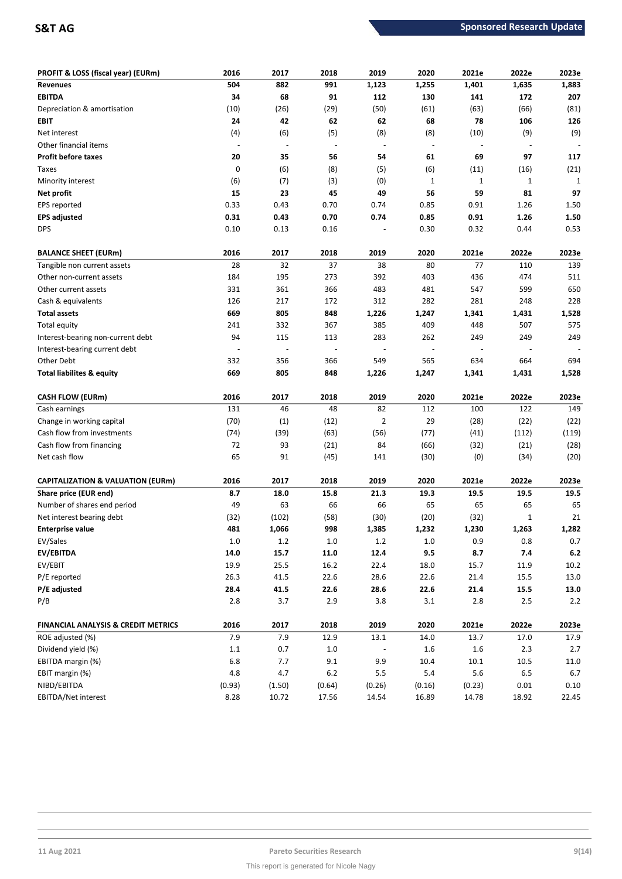| PROFIT & LOSS (fiscal year) (EURm)             | 2016    | 2017   | 2018                     | 2019                     | 2020        | 2021e        | 2022e        | 2023e   |
|------------------------------------------------|---------|--------|--------------------------|--------------------------|-------------|--------------|--------------|---------|
| <b>Revenues</b>                                | 504     | 882    | 991                      | 1,123                    | 1,255       | 1,401        | 1,635        | 1,883   |
| <b>EBITDA</b>                                  | 34      | 68     | 91                       | 112                      | 130         | 141          | 172          | 207     |
| Depreciation & amortisation                    | (10)    | (26)   | (29)                     | (50)                     | (61)        | (63)         | (66)         | (81)    |
| EBIT                                           | 24      | 42     | 62                       | 62                       | 68          | 78           | 106          | 126     |
| Net interest                                   | (4)     | (6)    | (5)                      | (8)                      | (8)         | (10)         | (9)          | (9)     |
| Other financial items                          |         |        | $\overline{a}$           | ÷,                       |             |              |              |         |
| <b>Profit before taxes</b>                     | 20      | 35     | 56                       | 54                       | 61          | 69           | 97           | 117     |
| Taxes                                          | 0       | (6)    | (8)                      | (5)                      | (6)         | (11)         | (16)         | (21)    |
| Minority interest                              | (6)     | (7)    | (3)                      | (0)                      | $\mathbf 1$ | $\mathbf{1}$ | $\mathbf 1$  | 1       |
| Net profit                                     | 15      | 23     | 45                       | 49                       | 56          | 59           | 81           | 97      |
| EPS reported                                   | 0.33    | 0.43   | 0.70                     | 0.74                     | 0.85        | 0.91         | 1.26         | 1.50    |
| <b>EPS adjusted</b>                            | 0.31    | 0.43   | 0.70                     | 0.74                     | 0.85        | 0.91         | 1.26         | 1.50    |
| <b>DPS</b>                                     | 0.10    | 0.13   | 0.16                     |                          | 0.30        | 0.32         | 0.44         | 0.53    |
| <b>BALANCE SHEET (EURm)</b>                    | 2016    | 2017   | 2018                     | 2019                     | 2020        | 2021e        | 2022e        | 2023e   |
| Tangible non current assets                    | 28      | 32     | 37                       | 38                       | 80          | 77           | 110          | 139     |
| Other non-current assets                       | 184     | 195    | 273                      | 392                      | 403         | 436          | 474          | 511     |
| Other current assets                           | 331     | 361    | 366                      | 483                      | 481         | 547          | 599          | 650     |
| Cash & equivalents                             | 126     | 217    | 172                      | 312                      | 282         | 281          | 248          | 228     |
| <b>Total assets</b>                            | 669     | 805    | 848                      | 1,226                    | 1,247       | 1,341        | 1,431        | 1,528   |
| Total equity                                   | 241     | 332    | 367                      | 385                      | 409         | 448          | 507          | 575     |
| Interest-bearing non-current debt              | 94      | 115    | 113                      | 283                      | 262         | 249          | 249          | 249     |
| Interest-bearing current debt                  |         |        | $\overline{\phantom{m}}$ | $\overline{\phantom{a}}$ |             |              |              |         |
| Other Debt                                     | 332     | 356    | 366                      | 549                      | 565         | 634          | 664          | 694     |
| <b>Total liabilites &amp; equity</b>           | 669     | 805    | 848                      | 1,226                    | 1,247       | 1,341        | 1,431        | 1,528   |
| <b>CASH FLOW (EURm)</b>                        | 2016    | 2017   | 2018                     | 2019                     | 2020        | 2021e        | 2022e        | 2023e   |
| Cash earnings                                  | 131     | 46     | 48                       | 82                       | 112         | 100          | 122          | 149     |
| Change in working capital                      | (70)    | (1)    | (12)                     | $\overline{2}$           | 29          | (28)         | (22)         | (22)    |
| Cash flow from investments                     | (74)    | (39)   | (63)                     | (56)                     | (77)        | (41)         | (112)        | (119)   |
| Cash flow from financing                       | 72      | 93     | (21)                     | 84                       | (66)        | (32)         | (21)         | (28)    |
| Net cash flow                                  | 65      | 91     | (45)                     | 141                      | (30)        | (0)          | (34)         | (20)    |
| <b>CAPITALIZATION &amp; VALUATION (EURm)</b>   | 2016    | 2017   | 2018                     | 2019                     | 2020        | 2021e        | 2022e        | 2023e   |
| Share price (EUR end)                          | 8.7     | 18.0   | 15.8                     | 21.3                     | 19.3        | 19.5         | 19.5         | 19.5    |
| Number of shares end period                    | 49      | 63     | 66                       | 66                       | 65          | 65           | 65           | 65      |
| Net interest bearing debt                      | (32)    | (102)  | (58)                     | (30)                     | (20)        | (32)         | $\mathbf{1}$ | 21      |
| <b>Enterprise value</b>                        | 481     | 1,066  | 998                      | 1,385                    | 1,232       | 1,230        | 1,263        | 1,282   |
| EV/Sales                                       | $1.0\,$ | 1.2    | $1.0\,$                  | 1.2                      | $1.0\,$     | 0.9          | 0.8          | 0.7     |
| EV/EBITDA                                      | 14.0    | 15.7   | 11.0                     | 12.4                     | 9.5         | 8.7          | 7.4          | $6.2\,$ |
| EV/EBIT                                        | 19.9    | 25.5   | 16.2                     | 22.4                     | 18.0        | 15.7         | 11.9         | 10.2    |
| P/E reported                                   | 26.3    | 41.5   | 22.6                     | 28.6                     | 22.6        | 21.4         | 15.5         | 13.0    |
| P/E adjusted                                   | 28.4    | 41.5   | 22.6                     | 28.6                     | 22.6        | 21.4         | 15.5         | 13.0    |
| P/B                                            | 2.8     | 3.7    | 2.9                      | 3.8                      | 3.1         | 2.8          | 2.5          | 2.2     |
| <b>FINANCIAL ANALYSIS &amp; CREDIT METRICS</b> | 2016    | 2017   | 2018                     | 2019                     | 2020        | 2021e        | 2022e        | 2023e   |
| ROE adjusted (%)                               | 7.9     | 7.9    | 12.9                     | 13.1                     | 14.0        | 13.7         | 17.0         | 17.9    |
| Dividend yield (%)                             | $1.1\,$ | 0.7    | $1.0\,$                  |                          | 1.6         | 1.6          | 2.3          | 2.7     |
| EBITDA margin (%)                              | $6.8\,$ | 7.7    | 9.1                      | 9.9                      | 10.4        | $10.1\,$     | 10.5         | 11.0    |
| EBIT margin (%)                                | 4.8     | 4.7    | $6.2\,$                  | 5.5                      | $5.4\,$     | $5.6\,$      | 6.5          | $6.7\,$ |
| NIBD/EBITDA                                    | (0.93)  | (1.50) | (0.64)                   | (0.26)                   | (0.16)      | (0.23)       | 0.01         | 0.10    |
| EBITDA/Net interest                            | 8.28    | 10.72  | 17.56                    | 14.54                    | 16.89       | 14.78        | 18.92        | 22.45   |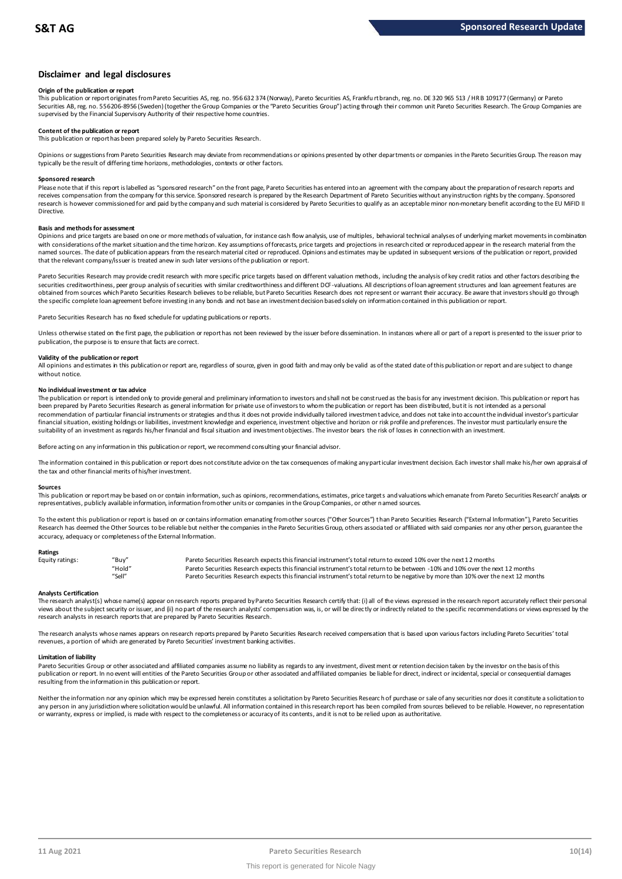# **Disclaimer and legal disclosures**

# **Origin of the publication or report**

This publication or report originates from Pareto Securities AS, reg. no. 956 632 374 (Norway), Pareto Securities AS, Frankfu rt branch, reg. no. DE 320 965 513 / HR B 109177 (Germany) or Pareto Securities AB, reg. no. 556206-8956 (Sweden) (together the Group Companies or the "Pareto Securities Group") acting through their common unit Pareto Securities Research. The Group Companies are supervised by the Financial Supervisory Authority of their respective home countries.

# **Content of the publication or report**

This publication or report has been prepared solely by Pareto Securities Research.

Opinions or suggestions from Pareto Securities Research may deviate from recommendations or opinions presented by other departments or companies in the Pareto Securities Group. The reason may typically be the result of differing time horizons, methodologies, contexts or other factors.

## **Sponsored research**

Please note that if this report is labelled as "sponsored research" on the front page, Pareto Securities has entered into an agreement with the company about the preparation of research reports and receives compensation from the company for this service. Sponsored research is prepared by the Research Department of Pareto Securities without any instruction rights by the company. Sponsored research is however commissioned for and paid by the company and such material is considered by Pareto Securities to qualify as an acceptable minor non-monetary benefit according to the EU MiFID II Directive.

# **Basis and methods for assessment**

Opinions and price targets are based on one or more methods of valuation, for instance cash flow analysis, use of multiples, behavioral technical analyses of underlying market movements in combination with considerations of the market situation and the time horizon. Key assumptions of forecasts, price targets and projections in research cited or reproduced appear in the research material from the named sources. The date of publication appears from the research material cited or reproduced. Opinions and estimates may be updated in subsequent versions of the publication or report, provided in subsequent versions of t that the relevant company/issuer is treated anew in such later versions of the publication or report.

Pareto Securities Research may provide credit research with more specific price targets based on different valuation methods, including the analysis of key credit ratios and other factors describing the securities creditworthiness, peer group analysis of securities with similar creditworthiness and different DCF-valuations. All descriptions of loan agreement structures and loan agreement features are obtained from sources which Pareto Securities Research believes to be reliable, but Pareto Securities Research does not represent or warrant their accuracy. Be aware that investors should go through the specific complete loan agreement before investing in any bonds and not base an investment decision based solely on information contained in this publication or report.

Pareto Securities Research has no fixed schedule for updating publications or reports.

Unless otherwise stated on the first page, the publication or report has not been reviewed by the issuer before dissemination. In instances where all or part of a report is presented to the issuer prior to publication, the purpose is to ensure that facts are correct.

## **Validity of the publication or report**

All opinions and estimates in this publication or report are, regardless of source, given in good faith and may only be valid as of the stated date of this publication or report and are subject to change without notice.

## **No individual investment or tax advice**

The publication or report is intended only to provide general and preliminary information to investors and shall not be construed as the basis for any investment decision. This publication or report has been prepared by Pareto Securities Research as general information for private use of investors to whom the publication or report has been distributed, but it is not intended as a personal recommendation of partiɑɪlar financial instruments or strategies and thus it does not provide individually tailored investmen tadvice, and does not take into account the individual investor's particular<br>financial situation suitability of an investment as regards his/her financial and fiscal situation and investment objectives. The investor bears the risk of losses in connection with an investment.

Before acting on any information in this publication or report, we recommend consulting your financial advisor.

The information contained in this publication or report does not constitute advice on the tax consequences of making any particular investment decision. Each investor shall make his/her own appraisal of the tax and other financial merits of his/her investment.

### **Sources**

This publication or report may be based on or contain information, such as opinions, recommendations, estimates, price targets and valuations which emanate from Pareto Securities Research' analysts or representatives, publicly available information, information from other units or companies in the Group Companies, or other named sources.

To the extent this publication or report is based on or contains information emanating from other sources ("Other Sources") than Pareto Securities Research ("External Information"), Pareto Securities Research has deemed the Other Sources to be reliable but neither the companies in the Pareto Securities Group, others associated or affiliated with said companies nor any other person, guarantee the accuracy, adequacy or completeness of the External Information.

# **Ratings**

| Equity ratings: | "Buy"  | Pareto Securities Research expects this financial instrument's total return to exceed 10% over the next 12 months                   |
|-----------------|--------|-------------------------------------------------------------------------------------------------------------------------------------|
|                 | "Hold" | Pareto Securities Research expects this financial instrument's total return to be between -10% and 10% over the next 12 months      |
|                 | "Sell" | Pareto Securities Research expects this financial instrument's total return to be negative by more than 10% over the next 12 months |

Analysts Certification<br>The research analyst(s) whose name(s) appear on research reports prepared by Pareto Securities Research certify that: (i) all of the views expressed in the research report accurately reflect their pe "Hold" Pareto Securities Research expects this financial instrument's total return to be between -1.0% and 10% over the next 12 months<br>"Sell" Pareto Securities Research expects this financial instrument's total return to b research analysts in research reports that are prepared by Pareto Securities Research.

The research analysts whose names appears on research reports prepared by Pareto Securities Research received compensation that is based upon various factors including Pareto Securities' total<br>revenues, a portion of which

## **Limitation of liability**

Pareto Securities Group or other associated and affiliated companies assume no liablity as regards to any investment, divestment or retention decision taken by the investor on the basis of this<br>publication or report. In no resulting from the information in this publication or report.

Neither the information nor any opinion which may be expressed herein constitutes a soligitation by Pareto Securities Research of purchase or sale of any securities nor does it constitute a soligitation to any person in any jurisdiction where solicitation would be unlawful. All information contained in this research report has been compiled from sources believed to be reliable. However, no representation or warranty, express or implied, is made with respect to the completeness or accuracy of its contents, and it is not to be relied upon as authoritative.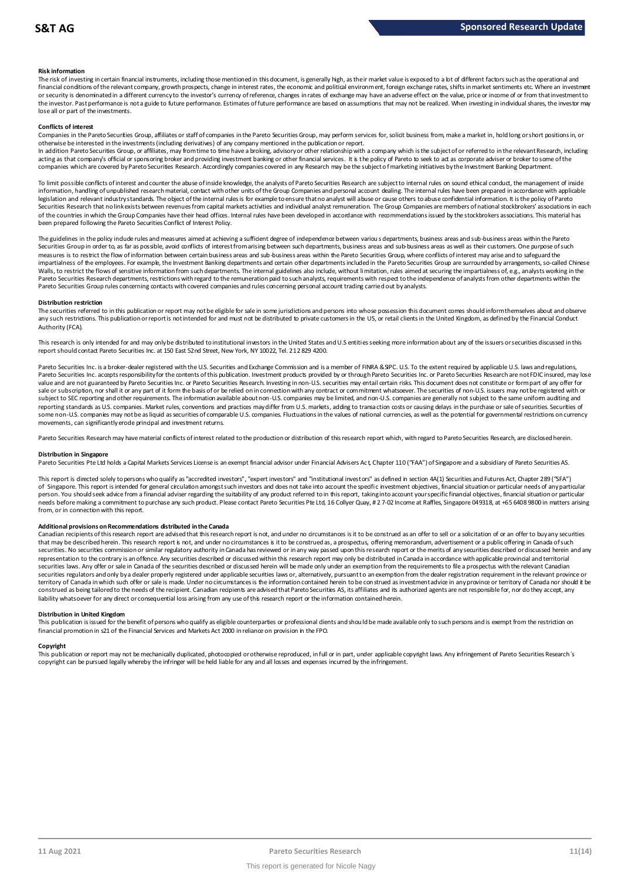# **Risk information**

The risk of investing in certain financial instruments, including those mentioned in this document, is generally high, as their market value is exposed to a lot of different factors such as the operational and financial conditions of the relevant company, growth prospects, change in interest rates, the economic and political environment, foreign exchange rates, shifts in market sentiments etc. Where an investment met.<br>or securit the investor. Past performance is not a guide to future performance. Estimates of future performance are based on assumptions that may not be realized. When investing in individual shares, the investor may lose all or part of the investments.

# **Conflicts of interest**

Companies in the Pareto Securities Group, affiliates or staff of companies in the Pareto Securities Group, may perform services for, solicit business from, make a market in, hold long or short positions in, or otherwise be interested in the investments (including derivatives) of any company mentioned in the publication or report.

In addition Pareto Securities Group, or affiliates, may from time to time have a broking, advisory or other relationship with a company which is the subject of or referred to in the relevant Research, including acting as that company's official or sponsoring broker and providing investment banking or other financial services. It is the policy of Pareto to seek to act as corporate adviser or broker to some of the<br>companies which a

To limit possible conflicts of interest and counter the abuse of inside knowledge, the analysts of Pareto Securities Research are subject to internal rules on sound ethical conduct, the management of inside<br>information, ha legislation and relevant industry standards. The object of the internal rules is for example to ensure that no analyst will abuse or cause others to abuse confidential information. It is the policy of Pareto Securities Research that no link exists between revenues from capital markets activities and individual analyst remuneration. The Group Companies are members of national stockbrokers' associations in each of the countries in which the Group Companies have their head offices. Internal rules have been developed in accordance with recommendations issued by the stockbrokers associations. This material has been prepared following the Pareto Securities Conflict of Interest Policy.

The guidelines in the policy indude rules and measures aimed at achieving a sufficient degree of independence between various departments, business areas and sub-business areas within the Pareto<br>Securities Group in order t measures is to restrict the flow of information between certain business areas and sub-business areas within the Pareto Securities Group, where conflicts of interest may arise and to safeguard the impartialness of the empl The guidelines in the policy indude rules and measures aimed at achieving a sufficient degree of independence between various departments, business areas and sub-business areas within the Pareto<br>Securities Group in order t Walls, to restrict the flows of sensitive information from such departments. The internal guidelines also include, without limitation, rules aimed at securing the impartialness of, e.g., analysts working in the<br>Pareto Secu Pareto Securities Group rules concerning contacts with covered companies and rules concerning personal account trading carried out by analysts.

# **Distribution restriction**

The securities referred to in this publication or report may not be eligible for sale in some jurisdictions and persons into whose possession this document comes should inform themselves about and observe Pareto Securities Group rules concerning contacts with covered companies and rules concerning personal account trading carried out by analysts.<br>Distribution restriction<br>The securities referred to in this publication or rep Authority (FCA).

This research is only intended for and may only be distributed to institutional investors in the United States and U.S entities seeking more information about any of the issuers or securities discussed in this report should contact Pareto Securities Inc. at 150 East 52nd Street, New York, NY 10022, Tel. 212 829 4200.

Pareto Securities Inc. is a broker-dealer registered with the U.S. Securities and Exchange Commission and is a member of FINRA & SIPC. U.S. To the extent required by applicable U.S. laws and regulations, Pareto Securities Inc. accepts responsibility for the contents of this publication. Investment products provided by or through Pareto Securities Inc. or Pareto Securities Research are not FDIC insured, may lose value and are not guaranteed by Pareto Securities Inc. or Pareto Securities Research. Investing in non-U.S. securities may entail certain risks. This document does not constitute or form part of any offer for sale or subscription, nor shall it or any part of it form the basis of or be relied on in connection with any contract or commitment whatsoever. The securities of non-U.S. issuers may not be registered with or subject to SEC reporting and other requirements. The information available about non-U.S. companies may be limited, and non-U.S. companies are generally not subject to the same uniform auditing and subject to the same unif reporting standards as U.S. companies. Market rules, conventions and practices may differ from U.S. markets, adding to transaction costs or causing delays in the purchase or sale of securities. Securities of some non-U.S. companies may not be as liquid as securities of comparable U.S. companies. Fluctuations in the values of national currencies, as well as the potential for governmental restrictions on currency movements, can significantly erode principal and investment returns.

Pareto Securities Research may have material conflicts of interest related to the production or distribution of this research report which, with regard to Pareto Securities Research, are disclosed herein.

# **Distribution in Singapore**

Pareto Securities Pte Ltd holds a Capital Markets Services License is an exempt financial advisor under Financial Advisers Act, Chapter 110 ("FAA") of Singapore and a subsidiary of Pareto Securities AS.

This report is directed solely to persons who qualify as "accredited investors", "expert investors" and "institutional investors" as defined in section 4A(1) Securities and Futures Act, Chapter 289 ("SFA") Distribution in Singapore<br>Pareto Securities Pte Ltd holds a Capital Markets Services License is an exempt financial advisor under Financial Advisers Act, Chapter 110 ("FAA") of Singapore and a subsidiary of Pareto Securiti person. You should seek advice from a financial adviser regarding the suitability of any product referred to in this report, taking into account your specific financial objectives, financial situation or particular needs before making a commitment to purchase any such product. Please contact Pareto Securities Pte Ltd, 16 Collyer Quay, # 2 7-02 Income at Raffles, Singapore 049318, at +65 6408 9800 in matters arising from, or in connection with this report.

Additional provisions on Recommendations distributed in the Canada<br>Canadian recipients of this research report are advised that this research report is not, and under no circumstances is it to be construed as an offer to s that may be described herein. This research report is not, and under no circumstances is it to be construed as, a prospectus, offering memorandum, advertisement or a public offering in Canada of such from, or in connection with this report.<br>Additional provisions on Recommendations distributed in the Canada<br>Canadian recipients of this research report are advised that this research report is not, and under no circumstanc representation to the contrary is an offence. Any securities described or discussed within this research report may only be distributed in Canada in accordance with applicable provincial and territorial<br>securities laws. An securities regulators and only by a dealer properly registered under applicable securities laws or, alternatively, pursuant to an exemption from the dealer registration requirement in the relevant province or territory of Canada in which such offer or sale is made. Under no circumstances is the information contained herein to be construed as investment advice in any province or territory of Canada nor should it be construed as being tailored to the needs of the recipient. Canadian redpients are advised that Pareto Securities AS, its affiliates and its authorized agents are not responsible for, nor do they accept, any liability whatsoever for any direct or consequential loss arising from any use of this research report or the information contained herein.

# **Distribution in United Kingdom**

This publication is issued for the benefit of persons who qualify as eligible counterparties or professional dients and should be made available only to such persons and is exempt from the restriction on financial promotion in s21 of the Financial Services and Markets Act 2000 in reliance on provision in the FPO.

# **Copyright**

This publication or report may not be mechanically duplicated, photocopied or otherwise reproduced, in full or in part, under applicable copyright laws. Any infringement of Pareto Securities Research's copyright can be pursued legally whereby the infringer will be held liable for any and all losses and expenses incurred by the infringement.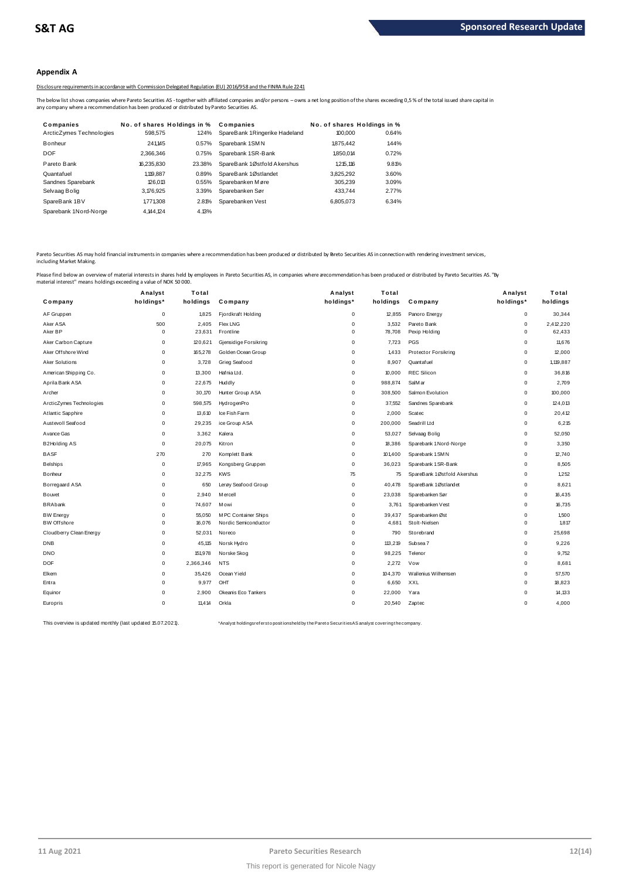# **Appendix A**

Disclosure requirements in accordance with Commission Delegated Regulation (EU) 2016/958 and the FINRA Rule 2241

|                                                                                              |                             |        | Disclosure requirements in accordance with Commission Delegated Regulation (EU) 2016/958 and the FINRA Rule 2241                                                                                           |                             |       |  |
|----------------------------------------------------------------------------------------------|-----------------------------|--------|------------------------------------------------------------------------------------------------------------------------------------------------------------------------------------------------------------|-----------------------------|-------|--|
| any company where a recommendation has been produced or distributed by Pareto Securities AS. |                             |        | The below list shows companies where Pareto Securities AS - together with affiliated companies and/or persons - owns a net long position of the shares exceeding 0,5% of the total issued share capital in |                             |       |  |
| Companies                                                                                    | No. of shares Holdings in % |        | Companies                                                                                                                                                                                                  | No. of shares Holdings in % |       |  |
| ArcticZymes Technologies                                                                     | 598.575                     | 124%   | SpareBank 1Ringerike Hadeland                                                                                                                                                                              | 100.000                     | 0.64% |  |
| <b>Bonheur</b>                                                                               | 241.145                     | 0.57%  | Sparebank 1SMN                                                                                                                                                                                             | 1875.442                    | 1.44% |  |
| <b>DOF</b>                                                                                   | 2.366.346                   | 0.75%  | Sparebank 1SR-Bank                                                                                                                                                                                         | 1.850.014                   | 0.72% |  |
| Pareto Bank                                                                                  | 16.235.830                  | 23.38% | SpareBank 1Østfold Akershus                                                                                                                                                                                | 1.215.116                   | 9.81% |  |
| Quantafuel                                                                                   | 1.119.887                   | 0.89%  | SpareBank 1Østlandet                                                                                                                                                                                       | 3.825.292                   | 3.60% |  |
| Sandnes Sparebank                                                                            | 126.013                     | 0.55%  | Sparebanken Møre                                                                                                                                                                                           | 305.239                     | 3.09% |  |
| Selvaag Bolig                                                                                | 3,176,925                   | 3.39%  | Sparebanken Sør                                                                                                                                                                                            | 433.744                     | 2.77% |  |
| SpareBank 1BV                                                                                | 1.771.308                   | 2.81%  | Sparebanken Vest                                                                                                                                                                                           | 6.805.073                   | 6.34% |  |
| Sparebank 1Nord-Norge                                                                        | 4.144.124                   | 4.13%  |                                                                                                                                                                                                            |                             |       |  |
|                                                                                              |                             |        |                                                                                                                                                                                                            |                             |       |  |

Pareto Securities AS may hold financial instruments in companies where a recommendation has been produced or distributed by Pareto Securities AS in connection with rendering investment services,<br>including Market Making.

| naterial interest" means holdings exceeding a value of NOK 50 000. | Analyst     | Total     |                       | Analyst     | Total    |                             | Analyst     | Total     |
|--------------------------------------------------------------------|-------------|-----------|-----------------------|-------------|----------|-----------------------------|-------------|-----------|
| Company                                                            | holdings*   | holdings  | Company               | holdings*   | holdings | Company                     | holdings*   | holdings  |
| AF Gruppen                                                         | $\mathsf 0$ | 1,825     | Fjordkraft Holding    | $\mathbf 0$ | 12,855   | Panoro Energy               | $\mathsf 0$ | 30,344    |
| Aker ASA                                                           | 500         | 2,405     | <b>Flex LNG</b>       | 0           | 3,532    | Pareto Bank                 | 0           | 2,412,220 |
| Aker BP                                                            | $\mathbf 0$ | 23,631    | Frontline             | 0           | 78,708   | Pexip Holding               | $\Omega$    | 62,433    |
| Aker Carbon Capture                                                | $\mathbf 0$ | 120,621   | Gjensidige Forsikring | 0           | 7,723    | <b>PGS</b>                  | 0           | 11,676    |
| Aker Offshore Wind                                                 | $\Omega$    | 165,278   | Golden Ocean Group    | 0           | 1.433    | <b>Protector Forsikring</b> | 0           | 12,000    |
| Aker Solutions                                                     | $\mathbf 0$ | 3,728     | Grieg Seafood         | $\mathbf 0$ | 8,907    | Quantafuel                  | $\mathbf 0$ | 1,119,887 |
| American Shipping Co.                                              | $\mathbf 0$ | 13,300    | Hafnia Ltd.           | 0           | 10,000   | <b>REC Silicon</b>          | 0           | 36,816    |
| Aprila Bank ASA                                                    | $\mathbf 0$ | 22,675    | Huddly                | $\mathbf 0$ | 988,874  | SalM ar                     | 0           | 2.709     |
| Archer                                                             | $\mathbf 0$ | 30,170    | Hunter Group ASA      | 0           | 308,500  | Salmon Evolution            | 0           | 100,000   |
| ArcticZymes Technologies                                           | $\Omega$    | 598,575   | HydrogenPro           | 0           | 37,552   | Sandnes Sparebank           | 0           | 124,013   |
| Atlantic Sapphire                                                  | $\Omega$    | 13,610    | Ice Fish Farm         | 0           | 2,000    | Scatec                      | 0           | 20,412    |
| Austevoll Seafood                                                  | $\Omega$    | 29,235    | ice Group ASA         | 0           | 200,000  | Seadrill Ltd                | $\Omega$    | 6,215     |
| Avance Gas                                                         | $\mathbf 0$ | 3,362     | Kalera                | $\mathbf 0$ | 53,027   | Selvaag Bolig               | 0           | 52,050    |
| B2Holding AS                                                       | $\mathbf 0$ | 20,075    | Kitron                | 0           | 18,386   | Sparebank 1 Nord-Norge      | $\mathbf 0$ | 3,350     |
| <b>BASF</b>                                                        | 270         | 270       | Komplett Bank         | $\mathbf 0$ | 101,400  | Sparebank 1 SMN             | $\mathbf 0$ | 12,740    |
| <b>Belships</b>                                                    | $\mathbf 0$ | 17,965    | Kongsberg Gruppen     | $\mathbf 0$ | 36,023   | Sparebank 1 SR-Bank         | $\Omega$    | 8,505     |
| Bonheur                                                            | $\mathsf 0$ | 32,275    | <b>KWS</b>            | 75          | 75       | SpareBank 1Østfold Akershus | 0           | 1,252     |
| Borregaard ASA                                                     | $\mathbf 0$ | 650       | Lerøy Seafood Group   | 0           | 40,478   | SpareBank 1Østlandet        | 0           | 8.621     |
| Bouvet                                                             | $\Omega$    | 2.940     | <b>M</b> ercell       | $\mathbf 0$ | 23,038   | Sparebanken Sør             | 0           | 16.435    |
| <b>BRAbank</b>                                                     | $\Omega$    | 74,607    | Mowi                  | $\mathbf 0$ | 3,761    | Sparebanken Vest            | $\mathbf 0$ | 16,735    |
| <b>BW Energy</b>                                                   | $\Omega$    | 55,050    | M PC Container Ships  | 0           | 39,437   | Sparebanken Øst             | $\mathbf 0$ | 1,500     |
| <b>BW</b> Offshore                                                 | $\mathbf 0$ | 16,076    | Nordic Semiconductor  | $\mathbf 0$ | 4,681    | Stolt-Nielsen               | 0           | 1.817     |
| Cloudberry Clean Energy                                            | $\mathbf 0$ | 52,031    | Noreco                | $\mathbf 0$ | 790      | Storebrand                  | $\mathbf 0$ | 25,698    |
| DNB                                                                | $\mathbf 0$ | 45,115    | Norsk Hydro           | $\mathbf 0$ | 113,219  | Subsea 7                    | $\mathbf 0$ | 9,226     |
| <b>DNO</b>                                                         | $\mathbf 0$ | 151,978   | Norske Skog           | 0           | 98,225   | Telenor                     | $\Omega$    | 9,752     |
| <b>DOF</b>                                                         | 0           | 2,366,346 | <b>NTS</b>            | 0           | 2,272    | Vow                         | 0           | 8,681     |
| Elkem                                                              | $\Omega$    | 35,426    | Ocean Yield           | 0           | 104,370  | Wallenius Wilhemsen         | $\Omega$    | 57,570    |
| Entra                                                              | $\mathbf 0$ | 9,977     | OHT                   | 0           | 6,650    | XXL                         | $\mathbf 0$ | 18,823    |
| Equinor                                                            | $\Omega$    | 2,900     | Okeanis Eco Tankers   | 0           | 22,000   | Yara                        | $\Omega$    | 14,133    |
| Europris                                                           | $\Omega$    | 11,414    | Orkla                 | $\mathbf 0$ | 20,540   | Zaptec                      | $\mathbf 0$ | 4,000     |
|                                                                    |             |           |                       |             |          |                             |             |           |

This overview is updated monthly (last updated 15.07.2021). \*Analyst holdings ref ers t o posit ions held by t he Paret o Securit ies AS analyst covering t he company.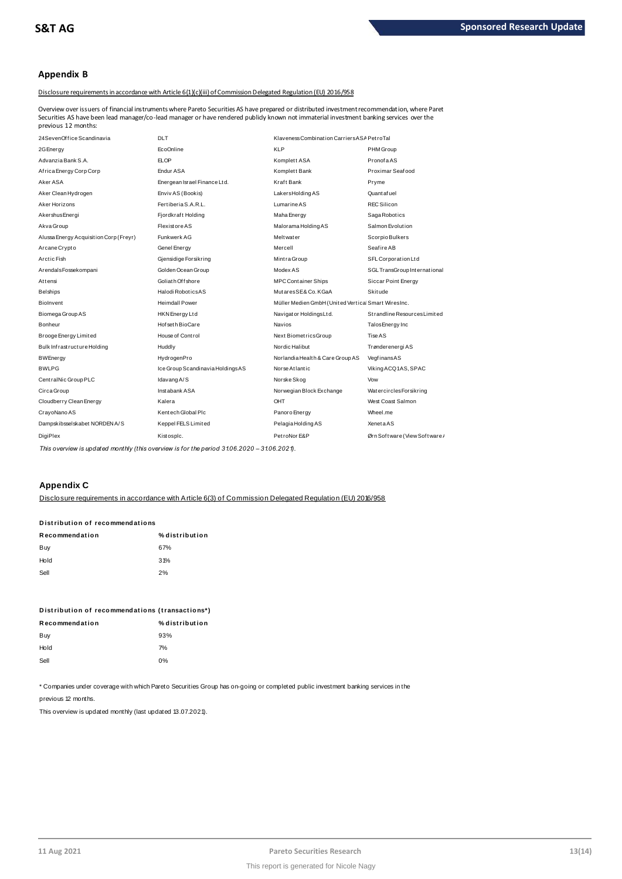# **Appendix B**

Disclosure requirements in accordance with Article 6(1)(c)(iii) of Commission Delegated Regulation (EU) 2016/958

24SevenOf f ice Scandinavia DLT Klaveness Combinat ion Carriers ASAPet roTal Securities AS have been lead manager/co-lead manager or have rendered publicly known not immaterial investment banking services over the Overview over issuers of financial instruments where Pareto Securities AS have prepared or distributed investment recommendation, where Pareto previous 12 months:

| 24SevenOffice Scandinavia              | <b>DLT</b>                       | Klaveness Combination Carriers ASA PetroTal         |                              |
|----------------------------------------|----------------------------------|-----------------------------------------------------|------------------------------|
| 2G Energy                              | EcoOnline                        | <b>KLP</b>                                          | PHM Group                    |
| Advanzia Bank S.A.                     | <b>ELOP</b>                      | Komplett ASA                                        | PronofaAS                    |
| Africa Energy Corp Corp                | Endur ASA                        | Komplett Bank                                       | Proximar Seafood             |
| Aker ASA                               | Energean Israel Finance Ltd.     | Kraft Bank                                          | Pryme                        |
| Aker Clean Hydrogen                    | Enviv AS (Bookis)                | LakersHoldingAS                                     | Quantafuel                   |
| Aker Horizons                          | Fertiberia S.A.R.L.              | Lumarine AS                                         | <b>REC Silicon</b>           |
| Akershus Energi                        | Fjordkraft Holding               | Maha Energy                                         | Saga Robotics                |
| Akva Group                             | <b>Flexistore AS</b>             | Malorama Holding AS                                 | Salmon Evolution             |
| Alussa Energy Acquisition Corp (Freyr) | Funkwerk AG                      | Melt wat er                                         | Scorpio Bulkers              |
| Arcane Crypto                          | Genel Energy                     | Mercell                                             | SeafireAB                    |
| Arctic Fish                            | Gjensidige Forsikring            | Mintra Group                                        | SFL Corporation Ltd          |
| ArendalsFossekompani                   | Golden Ocean Group               | Modex AS                                            | SGL TransGroup International |
| Attensi                                | Goliath Offshore                 | <b>MPC Container Ships</b>                          | Siccar Point Energy          |
| Belships                               | Halodi RoboticsAS                | MutaresSE& Co. KGaA                                 | Skitude                      |
| Biolnvent                              | <b>Heimdall Power</b>            | Müller Medien GmbH (United Vertical Smart WiresInc. |                              |
| Biomega Group AS                       | HKN Energy Ltd                   | Navigator HoldingsLtd.                              | Strandline Resources Limited |
| Bonheur                                | Hof set h BioCare                | <b>Navios</b>                                       | Talos Energy Inc             |
| Brooge Energy Limited                  | House of Control                 | Next BiometricsGroup                                | Tise AS                      |
| Bulk Infrastructure Holding            | Huddly                           | Nordic Halibut                                      | Trønderenergi AS             |
| <b>BWEnergy</b>                        | HydrogenPro                      | Norlandia Health & Care Group AS                    | VegfinansAS                  |
| <b>BWLPG</b>                           | Ice Group Scandinavia HoldingsAS | Norse Atlantic                                      | Viking ACQ1AS, SPAC          |
| CentralNic Group PLC                   | Idavang A/S                      | Norske Skog                                         | Vow                          |
| Circa Group                            | Instabank ASA                    | Norwegian Block Exchange                            | WatercirclesForsikring       |
| Cloudberry Clean Energy                | Kalera                           | OHT                                                 | West Coast Salmon            |
| CrayoNano AS                           | Kentech Global Plc               | Panoro Energy                                       | Wheel.me                     |
| Dampskibsselskabet NORDEN A/S          | Keppel FELS Limited              | Pelagia Holding AS                                  | <b>Xeneta AS</b>             |
| DigiPlex                               | Kistosplc.                       | PetroNor E&P                                        | Ørn Software (View Software) |
|                                        |                                  |                                                     |                              |

*This overview is updated monthly (this overview is for the period 31.06.2020 – 31.06.2021).*

# **Appendix C**

Disclosure requirements in accordance with Article 6(3) of Commission Delegated Regulation (EU) 2016/958

# <u>DISCIO SUFE requirements in accordar</u><br>Distribution of recommendations<br>-

| Distribution of recommendations |                |  |  |  |  |
|---------------------------------|----------------|--|--|--|--|
| Recommendation                  | % distribution |  |  |  |  |
| Buy                             | 67%            |  |  |  |  |
| Hold                            | 31%            |  |  |  |  |
| Sell                            | 2%             |  |  |  |  |
|                                 |                |  |  |  |  |

| Distribution of recommendations (transactions*) |
|-------------------------------------------------|
| % distribution                                  |
| 93%                                             |
| 7%                                              |
| $0\%$                                           |
|                                                 |

\* Companies under coverage with which Pareto Securities Group has on-going or completed public investment banking services in the

previous 12 months.

This overview is updated monthly (last updated 13.07.2021).